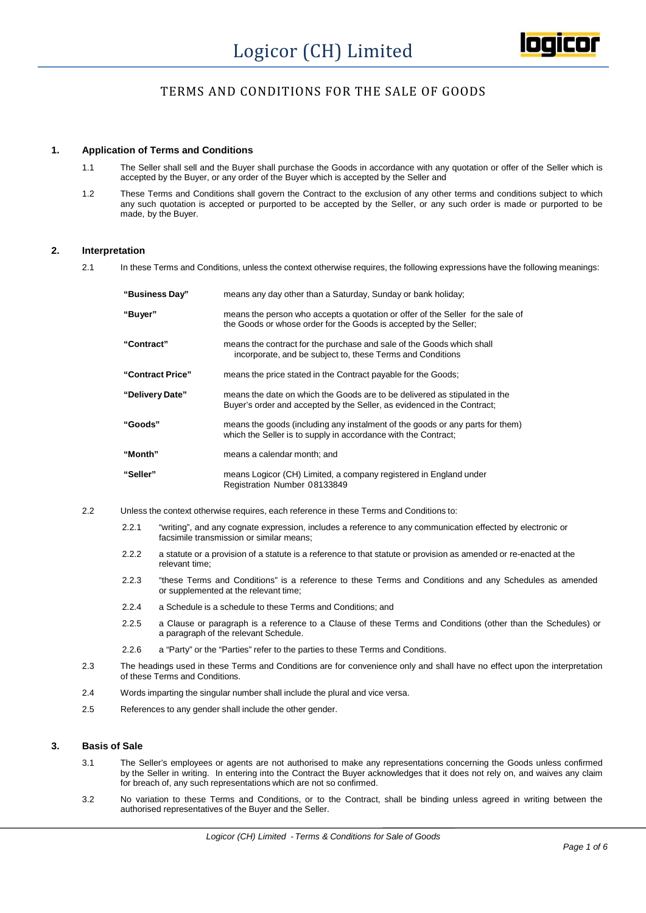

# TERMS AND CONDITIONS FOR THE SALE OF GOODS

## **1. Application of Terms and Conditions**

- 1.1 The Seller shall sell and the Buyer shall purchase the Goods in accordance with any quotation or offer of the Seller which is accepted by the Buyer, or any order of the Buyer which is accepted by the Seller and
- 1.2 These Terms and Conditions shall govern the Contract to the exclusion of any other terms and conditions subject to which any such quotation is accepted or purported to be accepted by the Seller, or any such order is made or purported to be made, by the Buyer.

## **2. Interpretation**

2.1 In these Terms and Conditions, unless the context otherwise requires, the following expressions have the following meanings:

| "Business Day"   | means any day other than a Saturday, Sunday or bank holiday;                                                                                          |
|------------------|-------------------------------------------------------------------------------------------------------------------------------------------------------|
| "Buyer"          | means the person who accepts a quotation or offer of the Seller for the sale of<br>the Goods or whose order for the Goods is accepted by the Seller;  |
| "Contract"       | means the contract for the purchase and sale of the Goods which shall<br>incorporate, and be subject to, these Terms and Conditions                   |
| "Contract Price" | means the price stated in the Contract payable for the Goods;                                                                                         |
| "Delivery Date"  | means the date on which the Goods are to be delivered as stipulated in the<br>Buyer's order and accepted by the Seller, as evidenced in the Contract; |
| "Goods"          | means the goods (including any instalment of the goods or any parts for them)<br>which the Seller is to supply in accordance with the Contract;       |
| "Month"          | means a calendar month; and                                                                                                                           |
| "Seller"         | means Logicor (CH) Limited, a company registered in England under<br>Registration Number 08133849                                                     |

- 2.2 Unless the context otherwise requires, each reference in these Terms and Conditions to:
	- 2.2.1 "writing", and any cognate expression, includes a reference to any communication effected by electronic or facsimile transmission or similar means;
	- 2.2.2 a statute or a provision of a statute is a reference to that statute or provision as amended or re-enacted at the relevant time;
	- 2.2.3 "these Terms and Conditions" is a reference to these Terms and Conditions and any Schedules as amended or supplemented at the relevant time;
	- 2.2.4 a Schedule is a schedule to these Terms and Conditions; and
	- 2.2.5 a Clause or paragraph is a reference to a Clause of these Terms and Conditions (other than the Schedules) or a paragraph of the relevant Schedule.
	- 2.2.6 a "Party" or the "Parties" refer to the parties to these Terms and Conditions.
- 2.3 The headings used in these Terms and Conditions are for convenience only and shall have no effect upon the interpretation of these Terms and Conditions.
- 2.4 Words imparting the singular number shall include the plural and vice versa.
- 2.5 References to any gender shall include the other gender.

## **3. Basis of Sale**

- 3.1 The Seller's employees oragents are not authorised to make any representations concerning the Goods unless confirmed by the Seller in writing. In entering into the Contract the Buyer acknowledges that it does notrely on, and waives any claim for breach of, any such representations which are not so confirmed.
- 3.2 No variation to these Terms and Conditions, or to the Contract, shall be binding unless agreed in writing between the authorised representatives of the Buyer and the Seller.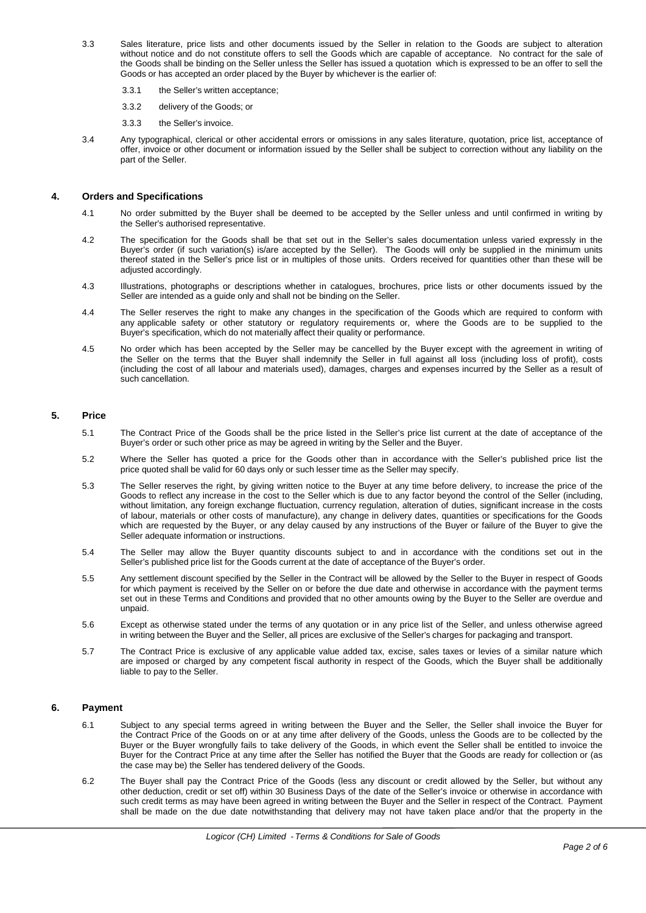- 3.3 Sales literature, price lists and other documents issued by the Seller in relation to the Goods are subject to alteration without notice and do not constitute offers to sell the Goods which are capable of acceptance. No contract for the sale of the Goods shall be binding on the Seller unless the Seller has issued a quotation which is expressed to be an offer to sell the Goods or has accepted an order placed by the Buyer by whichever is the earlier of:
	- 3.3.1 the Seller's written acceptance;
	- 3.3.2 delivery of the Goods; or
	- 3.3.3 the Seller's invoice.
- 3.4 Any typographical, clerical or other accidental errors oromissions in any sales literature, quotation, price list, acceptance of offer, invoice or other document or information issued by the Seller shall be subject to correction without any liability on the part of the Seller.

## **4. Orders and Specifications**

- 4.1 No order submitted by the Buyer shall be deemed to be accepted by the Seller unless and until confirmed in writing by the Seller's authorised representative.
- 4.2 The specification for the Goods shall be that set out in the Seller's sales documentation unless varied expressly in the Buyer's order (if such variation(s) is/are accepted by the Seller). The Goods will only be supplied in the minimum units thereof stated in the Seller's price list or in multiples of those units. Orders received for quantities other than these will be adjusted accordingly.
- 4.3 Illustrations, photographs or descriptions whether in catalogues, brochures, price lists or other documents issued by the Seller are intended as a guide only and shall not be binding on the Seller.
- 4.4 The Seller reserves the right to make any changes in the specification of the Goods which are required to conform with any applicable safety or other statutory or regulatory requirements or,where the Goods are to be supplied to the Buyer's specification, which do not materially affect their quality or performance.
- 4.5 No order which has been accepted by the Seller may be cancelled by the Buyer except with the agreement in writing of the Seller on the terms that the Buyer shall indemnify the Seller in full against all loss (including loss of profit), costs (including the cost of all labour and materials used), damages, charges and expenses incurred by the Seller as a result of such cancellation.

## **5. Price**

- 5.1 The Contract Price of the Goods shall be the price listed in the Seller's price list current at the date of acceptance of the Buyer's order or such other price as may be agreed in writing by the Seller and the Buyer.
- 5.2 Where the Seller has quoted a price for the Goods other than in accordance with the Seller's published price list the price quoted shall be valid for 60 days only or such lesser time as the Seller may specify.
- 5.3 The Seller reserves the right, by giving written notice to the Buyer at any time before delivery, to increase the price of the Goods to reflect any increase in the cost to the Seller which is due to any factor beyond the control of the Seller (including, without limitation, any foreign exchange fluctuation, currency regulation, alteration of duties, significant increase in the costs of labour, materials or other costs of manufacture), any change in delivery dates, quantities or specifications for the Goods which are requested by the Buyer, or any delay caused by any instructions of the Buyer or failure of the Buyer to give the Seller adequate information or instructions.
- 5.4 The Seller may allow the Buyer quantity discounts subject to and in accordance with the conditions set out in the Seller's published price list for the Goods current at the date of acceptance of the Buyer's order.
- 5.5 Any settlement discount specified by the Seller in the Contract will be allowed by the Seller to the Buyer in respect of Goods for which payment is received by the Seller on or before the due date and otherwise in accordance with the payment terms set out in these Terms and Conditions and provided that no other amounts owing by the Buyer to the Seller are overdue and unpaid.
- 5.6 Except as otherwise stated under the terms of any quotation or in any price list of the Seller, and unless otherwise agreed in writing between the Buyer and the Seller, all prices are exclusive of the Seller's charges for packaging and transport.
- 5.7 The Contract Price is exclusive of any applicable value added tax, excise, sales taxes or levies of a similar nature which are imposed or charged by any competent fiscal authority in respect of the Goods, which the Buyer shall be additionally liable to pay to the Seller.

## **6. Payment**

- 6.1 Subject to any special terms agreed in writing between the Buyer and the Seller, the Seller shall invoice the Buyer for the Contract Price of the Goods on or at any time after delivery of the Goods, unless the Goods are to be collected by the Buyer or the Buyer wrongfully fails to take delivery of the Goods, in which event the Seller shall be entitled to invoice the Buyer for the Contract Price at any time after the Seller has notified the Buyer that the Goods are ready for collection or (as the case may be) the Seller has tendered delivery of the Goods.
- 6.2 The Buyer shall pay the Contract Price of the Goods (less any discount or credit allowed by the Seller, but without any other deduction, credit or set off) within 30 Business Days of the date of the Seller's invoice or otherwise in accordance with such credit terms as may have been agreed in writing between the Buyer and the Seller in respect of the Contract. Payment shall be made on the due date notwithstanding that delivery may not have taken place and/or that the property in the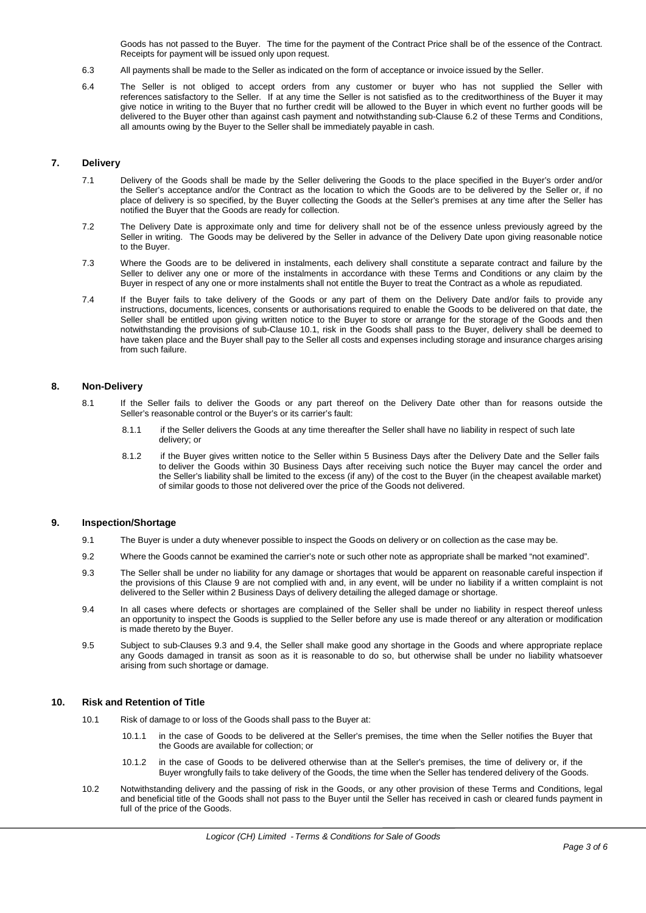Goods has not passed to the Buyer. The time for the payment of the Contract Price shall be of the essence of the Contract. Receipts for payment will be issued only upon request.

- 6.3 All payments shall be made to the Seller as indicated on the form of acceptance or invoice issued by the Seller.
- 6.4 The Seller is not obliged to accept orders from any customer or buyer who has not supplied the Seller with references satisfactory to the Seller. If at any time the Seller is not satisfied as to the creditworthiness of the Buyer it may give notice in writing to the Buyer that no further credit will be allowed to the Buyer in which event no further goods will be delivered to the Buyer other than against cash payment and notwithstanding sub-Clause 6.2 of these Terms and Conditions, all amounts owing by the Buyer to the Seller shall be immediately payable in cash.

## **7. Delivery**

- 7.1 Delivery of the Goods shall be made by the Seller delivering the Goods to the place specified in the Buyer's order and/or the Seller's acceptance and/or the Contract as the location to which the Goods are to be delivered by the Seller or, if no place of delivery is so specified, by the Buyer collecting the Goods at the Seller's premises at any time after the Seller has notified the Buyer that the Goods are ready for collection.
- 7.2 The Delivery Date is approximate only and time for delivery shall not be of the essence unless previously agreed by the Seller in writing. The Goods may be delivered by the Seller in advance of the Delivery Date upon giving reasonable notice to the Buyer.
- 7.3 Where the Goods are to be delivered in instalments, each delivery shall constitute a separate contract and failure by the Seller to deliver any one or more of the instalments in accordance with these Terms and Conditions or any claim by the Buyer in respect of any one or more instalments shall not entitle the Buyer to treat the Contract as a whole as repudiated.
- 7.4 If the Buyer fails to take delivery of the Goods or any part of them on the Delivery Date and/or fails to provide any instructions, documents, licences, consents orauthorisations required to enable the Goods to be delivered on that date, the Seller shall be entitled upon giving written notice to the Buyer to store or arrange for the storage of the Goods and then notwithstanding the provisions of sub-Clause 10.1, risk in the Goods shall pass to the Buyer, delivery shall be deemed to have taken place and the Buyer shall pay to the Seller all costs and expenses including storage and insurance charges arising from such failure.

## **8. Non-Delivery**

- 8.1 If the Seller fails to deliver the Goods or any part thereof on the Delivery Date other than for reasons outside the Seller's reasonable control or the Buyer's or its carrier's fault:
	- 8.1.1 if the Seller delivers the Goods at any time thereafter the Seller shall have no liability in respect of such late delivery; or
	- 8.1.2 if the Buyer gives written notice to the Seller within 5 Business Days after the Delivery Date and the Seller fails to deliver the Goods within 30 Business Days after receiving such notice the Buyer may cancel the order and the Seller's liability shall be limited to the excess (if any) of the cost to the Buyer (in the cheapest available market) of similar goods to those not delivered over the price of the Goods not delivered.

#### **9. Inspection/Shortage**

- 9.1 The Buyer is under a duty whenever possible to inspect the Goods on delivery or on collection as the case may be.
- 9.2 Where the Goods cannot be examined the carrier's note or such other note as appropriate shall be marked "not examined".
- 9.3 The Seller shall be under no liability for any damage or shortages that would be apparent on reasonable careful inspection if the provisions of this Clause 9 are not complied with and, in any event, will be under no liability if a written complaint is not delivered to the Seller within 2 Business Days of delivery detailing the alleged damage or shortage.
- 9.4 In all cases where defects orshortages are complained of the Seller shall be under no liability in respect thereof unless an opportunity to inspect the Goods is supplied to the Seller before any use is made thereof or any alteration or modification is made thereto by the Buyer.
- 9.5 Subject to sub-Clauses 9.3 and 9.4, the Seller shall make good any shortage in the Goods and where appropriate replace any Goods damaged in transit as soon as it is reasonable to do so, but otherwise shall be under no liability whatsoever arising from such shortage or damage.

#### **10. Risk and Retention of Title**

- 10.1 Risk of damage to or loss of the Goods shall pass to the Buyer at:
	- 10.1.1 in the case of Goods to be delivered at the Seller's premises, the time when the Seller notifies the Buyer that the Goods are available for collection; or
	- 10.1.2 in the case of Goods to be delivered otherwise than at the Seller's premises, the time of delivery or, if the Buyer wrongfully fails to take delivery of the Goods, the time when the Seller has tendered delivery of the Goods.
- 10.2 Notwithstanding delivery and the passing of risk in the Goods, or any other provision of these Terms and Conditions, legal and beneficial title of the Goods shall not pass to the Buyer until the Seller has received in cash or cleared funds payment in full of the price of the Goods.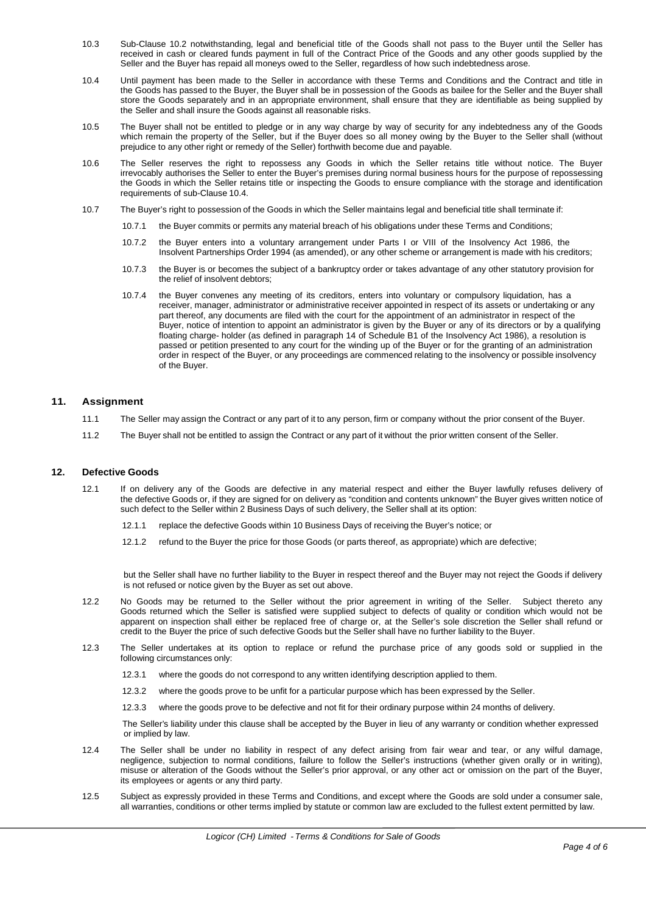- 10.3 Sub-Clause 10.2 notwithstanding, legal and beneficial title of the Goods shall not pass to the Buyer until the Seller has received in cash or cleared funds payment in full of the Contract Price of the Goods and any other goods supplied by the Seller and the Buyer has repaid all moneys owed to the Seller, regardless of how such indebtedness arose.
- 10.4 Until payment has been made to the Seller in accordance with these Terms and Conditions and the Contract and title in the Goods has passed to the Buyer, the Buyer shall be in possession of the Goods as bailee for the Seller and the Buyer shall store the Goods separately and in an appropriate environment, shall ensure that they are identifiable as being supplied by the Seller and shall insure the Goods against all reasonable risks.
- 10.5 The Buyer shall not be entitled to pledge or in any way charge by way of security for any indebtedness any of the Goods which remain the property of the Seller, but if the Buyer does so all money owing by the Buyer to the Seller shall (without prejudice to any other right or remedy of the Seller) forthwith become due and payable.
- 10.6 The Seller reserves the right to repossess any Goods in which the Seller retains title without notice. The Buyer irrevocably authorises the Seller to enter the Buyer's premises during normal business hours for the purpose of repossessing the Goods in which the Seller retains title or inspecting the Goods to ensure compliance with the storage and identification requirements of sub-Clause 10.4.
- 10.7 The Buyer's right to possession of the Goods in which the Seller maintains legal and beneficial title shall terminate if:
	- 10.7.1 the Buyer commits or permits any material breach of his obligations under these Terms and Conditions;
	- 10.7.2 the Buyer enters into a voluntary arrangement under Parts I or VIII of the Insolvency Act 1986, the Insolvent Partnerships Order 1994 (as amended), or any other scheme or arrangement is made with his creditors;
	- 10.7.3 the Buyer is or becomes the subject of a bankruptcy order or takes advantage of any other statutory provision for the relief of insolvent debtors;
	- 10.7.4 the Buyer convenes any meeting of its creditors, enters into voluntary orcompulsory liquidation, has a receiver, manager, administrator or administrative receiver appointed in respect of its assets orundertaking or any part thereof, any documents are filed with the court for the appointment of an administrator in respect of the Buyer, notice of intention to appoint an administrator is given by the Buyer or any of its directors orby a qualifying floating charge- holder (as defined in paragraph 14 of Schedule B1 of the Insolvency Act 1986), a resolution is passed or petition presented to any court for the winding up of the Buyer or for the granting of an administration order in respect of the Buyer, or any proceedings are commenced relating to the insolvency or possible insolvency of the Buyer.

## **11. Assignment**

- 11.1 The Seller may assign the Contract or any part of it to any person, firm or company without the prior consent of the Buyer.
- 11.2 The Buyer shall not be entitled to assign the Contract or any part of it without the prior written consent of the Seller.

#### **12. Defective Goods**

- 12.1 If on delivery any of the Goods are defective in any material respect and either the Buyer lawfully refuses delivery of the defective Goods or, if they are signed for on delivery as "condition and contents unknown" the Buyer gives written notice of such defect to the Seller within 2 Business Days of such delivery, the Seller shall at its option:
	- 12.1.1 replace the defective Goods within 10 Business Days of receiving the Buyer's notice; or
	- 12.1.2 refund to the Buyer the price for those Goods (or parts thereof, as appropriate) which are defective;

but the Seller shall have no further liability to the Buyer in respect thereof and the Buyer may notreject the Goods if delivery is not refused or notice given by the Buyer as set out above.

- 12.2 No Goods may be returned to the Seller without the prior agreement in writing of the Seller. Subject thereto any Goods returned which the Seller is satisfied were supplied subject to defects of quality or condition which would not be apparent on inspection shall either be replaced free of charge or, at the Seller's sole discretion the Seller shall refund or credit to the Buyer the price of such defective Goods butthe Seller shall have no further liability to the Buyer.
- 12.3 The Seller undertakes at its option to replace or refund the purchase price of any goods sold or supplied in the following circumstances only:
	- 12.3.1 where the goods do not correspond to any written identifying description applied to them.
	- 12.3.2 where the goods prove to be unfit for a particular purpose which has been expressed by the Seller.
	- 12.3.3 where the goods prove to be defective and not fit for their ordinary purpose within 24 months of delivery.

The Seller's liability under this clause shall be accepted by the Buyer in lieu of any warranty orcondition whether expressed or implied by law.

- 12.4 The Seller shall be under no liability in respect of any defect arising from fair wear and tear, or any wilful damage, negligence, subjection to normal conditions, failure to follow the Seller's instructions (whether given orally or in writing), misuse or alteration of the Goods without the Seller's prior approval, or any other act or omission on the part of the Buyer. its employees or agents or any third party.
- 12.5 Subject as expressly provided in these Terms and Conditions, and except where the Goods are sold under a consumer sale, all warranties, conditions or other terms implied by statute or common law are excluded to the fullest extent permitted by law.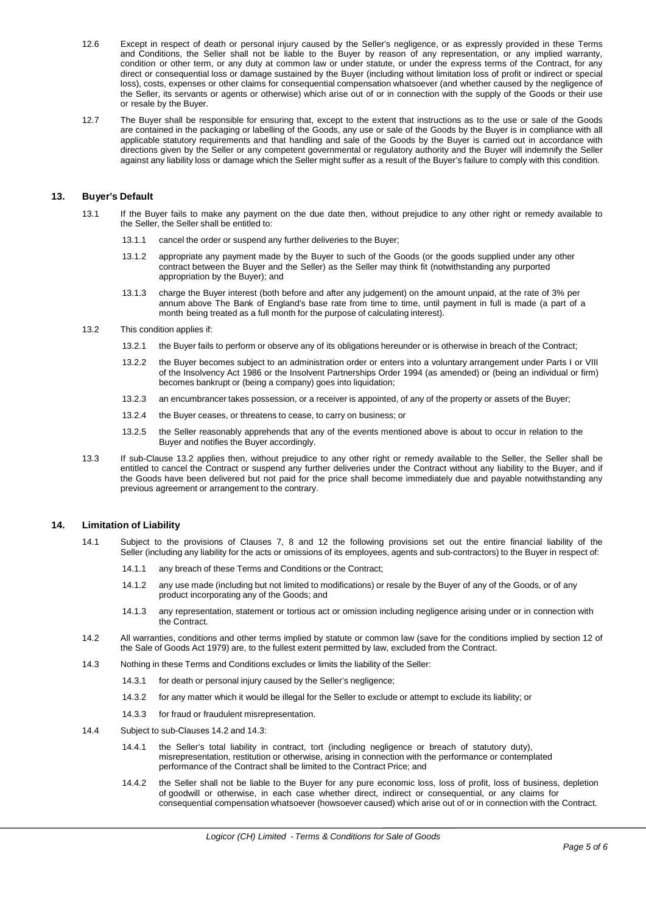- 12.6 Except in respect of death or personal injury caused by the Seller's negligence, or as expressly provided in these Terms and Conditions, the Seller shall not be liable to the Buyer by reason of any representation, or any implied warranty, condition or other term, or any duty at common law or under statute, or under the express terms of the Contract, for any direct or consequential loss or damage sustained by the Buyer (including without limitation loss of profit or indirect or special loss), costs, expenses or other claims for consequential compensation whatsoever (and whether caused by the negligence of the Seller, its servants or agents or otherwise) which arise out of or in connection with the supply of the Goods or their use or resale by the Buyer.
- 12.7 The Buyer shall be responsible for ensuring that, except to the extent that instructions as to the use or sale of the Goods are contained in the packaging or labelling of the Goods, any use or sale of the Goods by the Buyer is in compliance with all applicable statutory requirements and that handling and sale of the Goods by the Buyer is carried out in accordance with directions given by the Seller or any competent governmental or regulatory authority and the Buyer will indemnify the Seller against any liability loss or damage which the Seller might suffer as a result of the Buyer's failure to comply with this condition.

## **13. Buyer's Default**

- 13.1 If the Buyer fails to make any payment on the due date then, without prejudice to any other right or remedy available to the Seller, the Seller shall be entitled to:
	- 13.1.1 cancel the order or suspend any further deliveries to the Buyer;
	- 13.1.2 appropriate any payment made by the Buyer to such of the Goods (or the goods supplied under any other contract between the Buyer and the Seller) as the Seller may think fit (notwithstanding any purported appropriation by the Buyer); and
	- 13.1.3 charge the Buyer interest (both before and after any judgement) on the amount unpaid, at the rate of 3% per annum above The Bank of England's base rate from time to time, until payment in full is made (a part of a month being treated as a full month for the purpose of calculating interest).
- 13.2 This condition applies if:
	- 13.2.1 the Buyer fails to perform or observe any of its obligations hereunder or is otherwise in breach of the Contract;
	- 13.2.2 the Buyer becomes subject to an administration order or enters into a voluntary arrangement under Parts I or VIII of the Insolvency Act 1986 or the Insolvent Partnerships Order 1994 (as amended) or (being an individual or firm) becomes bankrupt or (being a company) goes into liquidation;
	- 13.2.3 an encumbrancer takes possession, or a receiver is appointed, of any of the property or assets of the Buyer;
	- 13.2.4 the Buyer ceases, or threatens to cease, to carry on business; or
	- 13.2.5 the Seller reasonably apprehends that any of the events mentioned above is about to occur in relation to the Buyer and notifies the Buyer accordingly.
- 13.3 If sub-Clause 13.2 applies then, without prejudice to any other right or remedy available to the Seller, the Seller shall be entitled to cancel the Contract or suspend any further deliveries under the Contract without any liability to the Buyer, and if the Goods have been delivered but not paid for the price shall become immediately due and payable notwithstanding any previous agreement or arrangement to the contrary.

#### **14. Limitation of Liability**

- 14.1 Subject to the provisions of Clauses 7, 8 and 12 the following provisions set out the entire financial liability of the Seller (including any liability for the acts or omissions of its employees, agents and sub-contractors) to the Buyer in respect of:
	- 14.1.1 any breach of these Terms and Conditions or the Contract;
	- 14.1.2 any use made (including but not limited to modifications) or resale by the Buyer of any of the Goods, or of any product incorporating any of the Goods; and
	- 14.1.3 any representation, statement or tortious act or omission including negligence arising under or in connection with the Contract.
- 14.2 All warranties, conditions and other terms implied by statute or common law (save for the conditions implied by section 12 of the Sale of Goods Act 1979) are, to the fullest extent permitted by law, excluded from the Contract.
- 14.3 Nothing in these Terms and Conditions excludes or limits the liability of the Seller:
	- 14.3.1 for death or personal injury caused by the Seller's negligence;
	- 14.3.2 for any matter which it would be illegal for the Seller to exclude or attempt to exclude its liability; or
	- 14.3.3 for fraud or fraudulent misrepresentation.
- 14.4 Subject to sub-Clauses 14.2 and 14.3:
	- 14.4.1 the Seller's total liability in contract, tort (including negligence or breach of statutory duty), misrepresentation, restitution or otherwise, arising in connection with the performance or contemplated performance of the Contract shall be limited to the Contract Price; and
	- 14.4.2 the Seller shall not be liable to the Buyer for any pure economic loss, loss of profit, loss of business, depletion of goodwill or otherwise, in each case whether direct, indirect or consequential, or any claims for consequential compensation whatsoever (howsoever caused) which arise out of or in connection with the Contract.